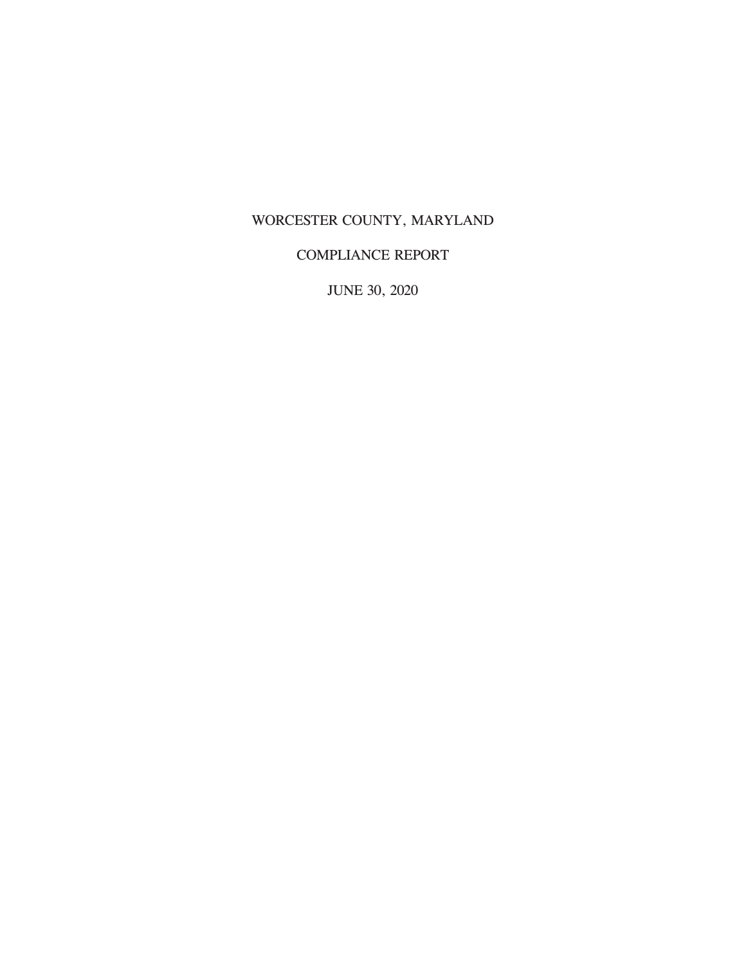## WORCESTER COUNTY, MARYLAND

## COMPLIANCE REPORT

JUNE 30, 2020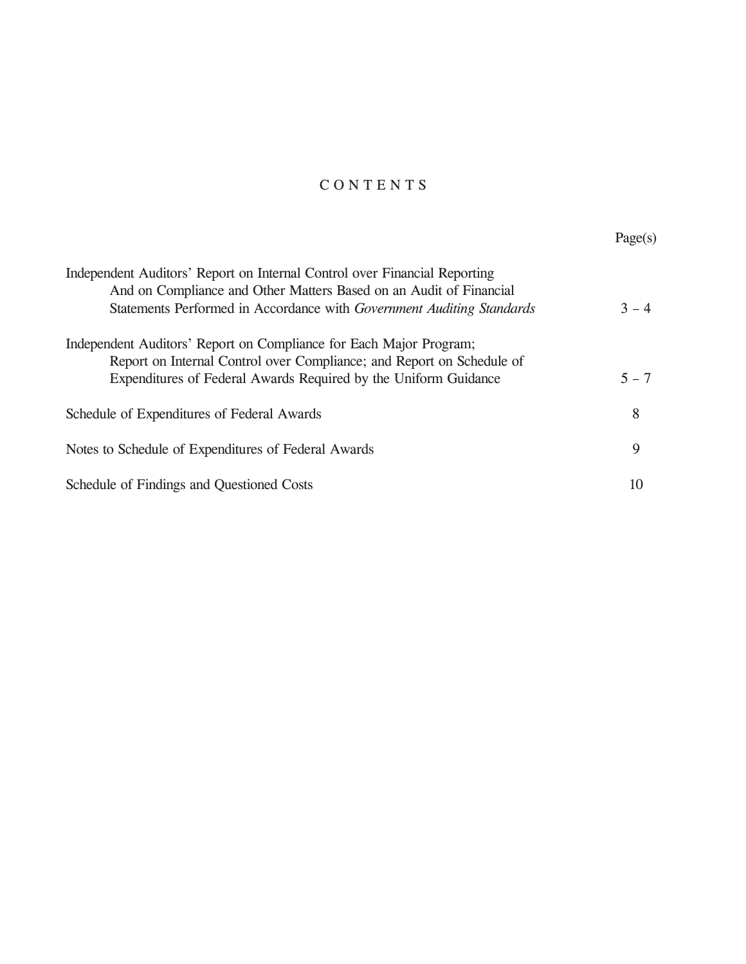# C O N T E N T S

|                                                                                                                                                 | Page(s) |
|-------------------------------------------------------------------------------------------------------------------------------------------------|---------|
| Independent Auditors' Report on Internal Control over Financial Reporting<br>And on Compliance and Other Matters Based on an Audit of Financial |         |
| Statements Performed in Accordance with Government Auditing Standards                                                                           | $3 - 4$ |
| Independent Auditors' Report on Compliance for Each Major Program;<br>Report on Internal Control over Compliance; and Report on Schedule of     |         |
| Expenditures of Federal Awards Required by the Uniform Guidance                                                                                 | $5 - 7$ |
| Schedule of Expenditures of Federal Awards                                                                                                      | 8       |
| Notes to Schedule of Expenditures of Federal Awards                                                                                             | 9       |
| Schedule of Findings and Questioned Costs                                                                                                       | 10      |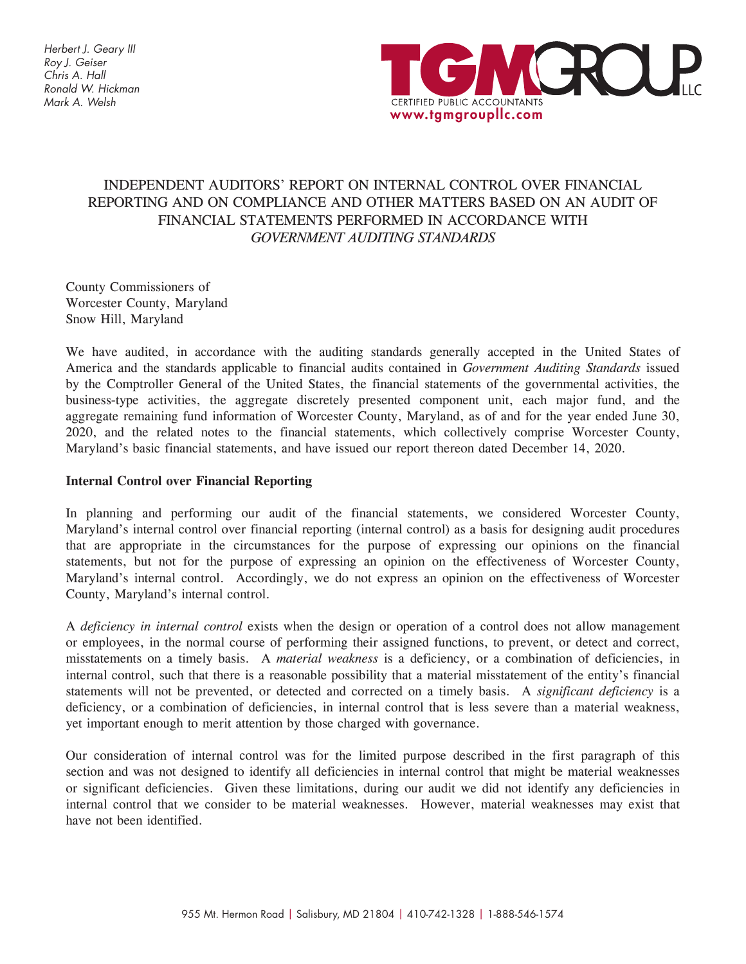Herbert J. Geary III Roy J. Geiser Chris A. Hall Ronald W. Hickman Mark A. Welsh



## INDEPENDENT AUDITORS' REPORT ON INTERNAL CONTROL OVER FINANCIAL REPORTING AND ON COMPLIANCE AND OTHER MATTERS BASED ON AN AUDIT OF FINANCIAL STATEMENTS PERFORMED IN ACCORDANCE WITH *GOVERNMENT AUDITING STANDARDS*

County Commissioners of Worcester County, Maryland Snow Hill, Maryland

We have audited, in accordance with the auditing standards generally accepted in the United States of America and the standards applicable to financial audits contained in *Government Auditing Standards* issued by the Comptroller General of the United States, the financial statements of the governmental activities, the business-type activities, the aggregate discretely presented component unit, each major fund, and the aggregate remaining fund information of Worcester County, Maryland, as of and for the year ended June 30, 2020, and the related notes to the financial statements, which collectively comprise Worcester County, Maryland's basic financial statements, and have issued our report thereon dated December 14, 2020.

### **Internal Control over Financial Reporting**

In planning and performing our audit of the financial statements, we considered Worcester County, Maryland's internal control over financial reporting (internal control) as a basis for designing audit procedures that are appropriate in the circumstances for the purpose of expressing our opinions on the financial statements, but not for the purpose of expressing an opinion on the effectiveness of Worcester County, Maryland's internal control. Accordingly, we do not express an opinion on the effectiveness of Worcester County, Maryland's internal control.

A *deficiency in internal control* exists when the design or operation of a control does not allow management or employees, in the normal course of performing their assigned functions, to prevent, or detect and correct, misstatements on a timely basis. A *material weakness* is a deficiency, or a combination of deficiencies, in internal control, such that there is a reasonable possibility that a material misstatement of the entity's financial statements will not be prevented, or detected and corrected on a timely basis. A *significant deficiency* is a deficiency, or a combination of deficiencies, in internal control that is less severe than a material weakness, yet important enough to merit attention by those charged with governance.

Our consideration of internal control was for the limited purpose described in the first paragraph of this section and was not designed to identify all deficiencies in internal control that might be material weaknesses or significant deficiencies. Given these limitations, during our audit we did not identify any deficiencies in internal control that we consider to be material weaknesses. However, material weaknesses may exist that have not been identified.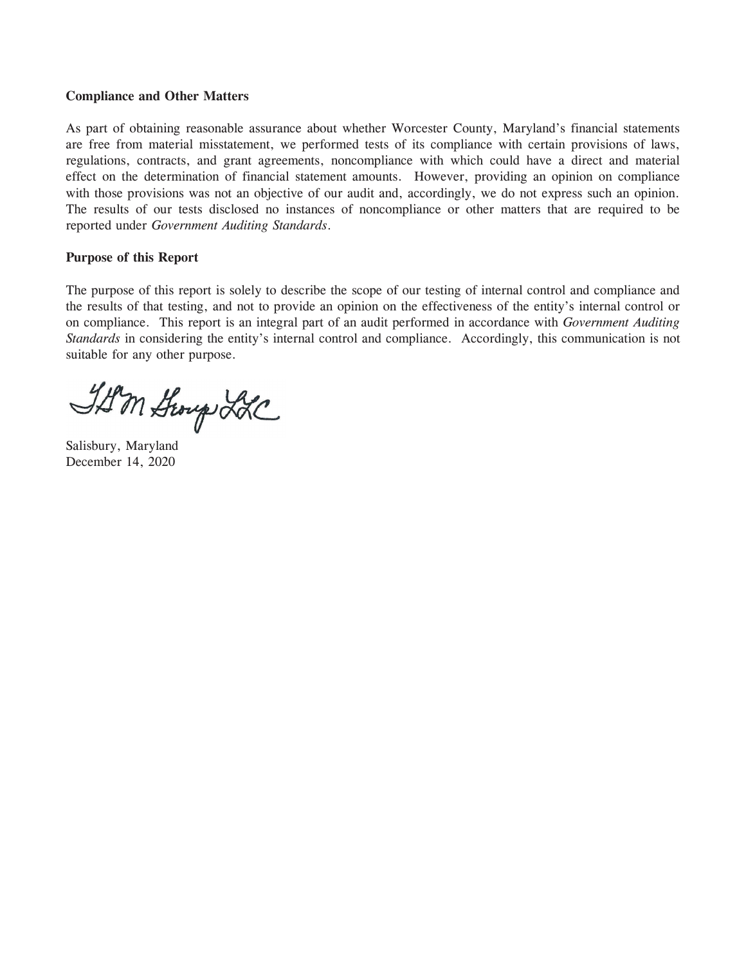#### **Compliance and Other Matters**

As part of obtaining reasonable assurance about whether Worcester County, Maryland's financial statements are free from material misstatement, we performed tests of its compliance with certain provisions of laws, regulations, contracts, and grant agreements, noncompliance with which could have a direct and material effect on the determination of financial statement amounts. However, providing an opinion on compliance with those provisions was not an objective of our audit and, accordingly, we do not express such an opinion. The results of our tests disclosed no instances of noncompliance or other matters that are required to be reported under *Government Auditing Standards*.

### **Purpose of this Report**

The purpose of this report is solely to describe the scope of our testing of internal control and compliance and the results of that testing, and not to provide an opinion on the effectiveness of the entity's internal control or on compliance. This report is an integral part of an audit performed in accordance with *Government Auditing Standards* in considering the entity's internal control and compliance. Accordingly, this communication is not suitable for any other purpose.

ID'm Story LLC

Salisbury, Maryland December 14, 2020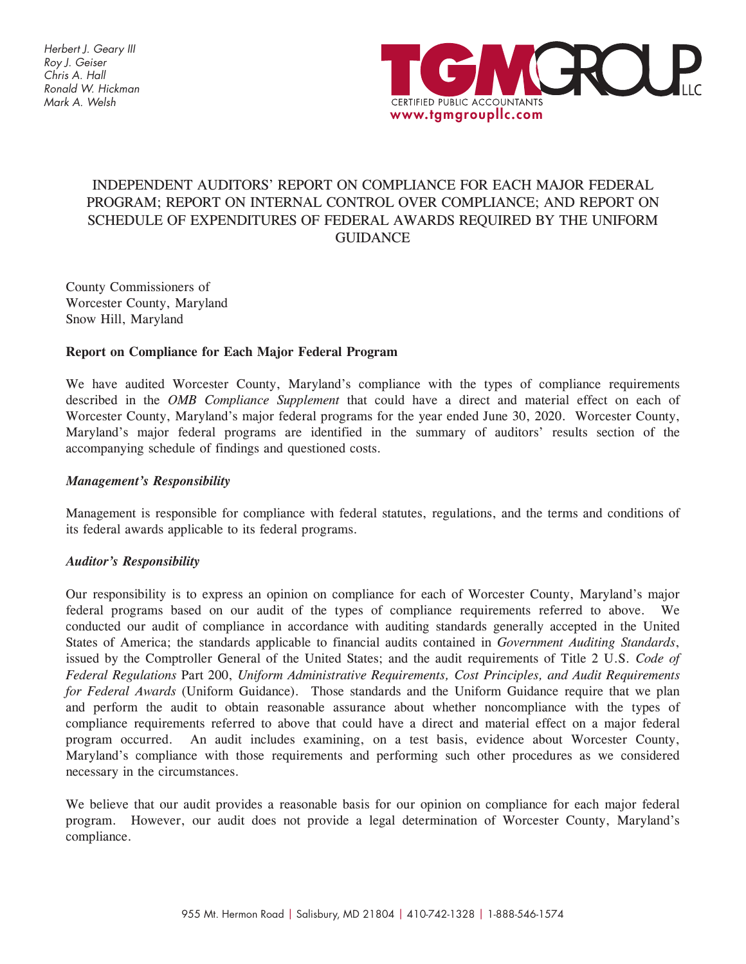Herbert J. Geary III Roy J. Geiser Chris A. Hall Ronald W. Hickman Mark A. Welsh



## INDEPENDENT AUDITORS' REPORT ON COMPLIANCE FOR EACH MAJOR FEDERAL PROGRAM; REPORT ON INTERNAL CONTROL OVER COMPLIANCE; AND REPORT ON SCHEDULE OF EXPENDITURES OF FEDERAL AWARDS REQUIRED BY THE UNIFORM GUIDANCE

County Commissioners of Worcester County, Maryland Snow Hill, Maryland

### **Report on Compliance for Each Major Federal Program**

We have audited Worcester County, Maryland's compliance with the types of compliance requirements described in the *OMB Compliance Supplement* that could have a direct and material effect on each of Worcester County, Maryland's major federal programs for the year ended June 30, 2020. Worcester County, Maryland's major federal programs are identified in the summary of auditors' results section of the accompanying schedule of findings and questioned costs.

### *Management's Responsibility*

Management is responsible for compliance with federal statutes, regulations, and the terms and conditions of its federal awards applicable to its federal programs.

### *Auditor's Responsibility*

Our responsibility is to express an opinion on compliance for each of Worcester County, Maryland's major federal programs based on our audit of the types of compliance requirements referred to above. We conducted our audit of compliance in accordance with auditing standards generally accepted in the United States of America; the standards applicable to financial audits contained in *Government Auditing Standards*, issued by the Comptroller General of the United States; and the audit requirements of Title 2 U.S. *Code of Federal Regulations* Part 200, *Uniform Administrative Requirements, Cost Principles, and Audit Requirements for Federal Awards* (Uniform Guidance). Those standards and the Uniform Guidance require that we plan and perform the audit to obtain reasonable assurance about whether noncompliance with the types of compliance requirements referred to above that could have a direct and material effect on a major federal program occurred. An audit includes examining, on a test basis, evidence about Worcester County, Maryland's compliance with those requirements and performing such other procedures as we considered necessary in the circumstances.

We believe that our audit provides a reasonable basis for our opinion on compliance for each major federal program. However, our audit does not provide a legal determination of Worcester County, Maryland's compliance.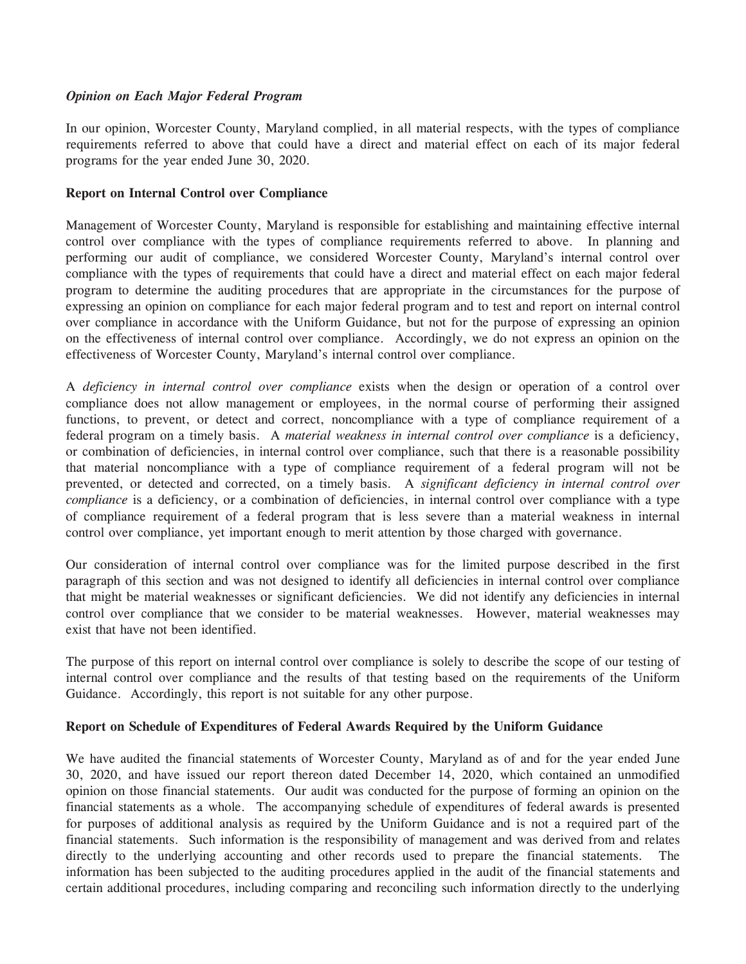### *Opinion on Each Major Federal Program*

In our opinion, Worcester County, Maryland complied, in all material respects, with the types of compliance requirements referred to above that could have a direct and material effect on each of its major federal programs for the year ended June 30, 2020.

#### **Report on Internal Control over Compliance**

Management of Worcester County, Maryland is responsible for establishing and maintaining effective internal control over compliance with the types of compliance requirements referred to above. In planning and performing our audit of compliance, we considered Worcester County, Maryland's internal control over compliance with the types of requirements that could have a direct and material effect on each major federal program to determine the auditing procedures that are appropriate in the circumstances for the purpose of expressing an opinion on compliance for each major federal program and to test and report on internal control over compliance in accordance with the Uniform Guidance, but not for the purpose of expressing an opinion on the effectiveness of internal control over compliance. Accordingly, we do not express an opinion on the effectiveness of Worcester County, Maryland's internal control over compliance.

A *deficiency in internal control over compliance* exists when the design or operation of a control over compliance does not allow management or employees, in the normal course of performing their assigned functions, to prevent, or detect and correct, noncompliance with a type of compliance requirement of a federal program on a timely basis. A *material weakness in internal control over compliance* is a deficiency, or combination of deficiencies, in internal control over compliance, such that there is a reasonable possibility that material noncompliance with a type of compliance requirement of a federal program will not be prevented, or detected and corrected, on a timely basis. A *significant deficiency in internal control over compliance* is a deficiency, or a combination of deficiencies, in internal control over compliance with a type of compliance requirement of a federal program that is less severe than a material weakness in internal control over compliance, yet important enough to merit attention by those charged with governance.

Our consideration of internal control over compliance was for the limited purpose described in the first paragraph of this section and was not designed to identify all deficiencies in internal control over compliance that might be material weaknesses or significant deficiencies. We did not identify any deficiencies in internal control over compliance that we consider to be material weaknesses. However, material weaknesses may exist that have not been identified.

The purpose of this report on internal control over compliance is solely to describe the scope of our testing of internal control over compliance and the results of that testing based on the requirements of the Uniform Guidance. Accordingly, this report is not suitable for any other purpose.

### **Report on Schedule of Expenditures of Federal Awards Required by the Uniform Guidance**

We have audited the financial statements of Worcester County, Maryland as of and for the year ended June 30, 2020, and have issued our report thereon dated December 14, 2020, which contained an unmodified opinion on those financial statements. Our audit was conducted for the purpose of forming an opinion on the financial statements as a whole. The accompanying schedule of expenditures of federal awards is presented for purposes of additional analysis as required by the Uniform Guidance and is not a required part of the financial statements. Such information is the responsibility of management and was derived from and relates directly to the underlying accounting and other records used to prepare the financial statements. The information has been subjected to the auditing procedures applied in the audit of the financial statements and certain additional procedures, including comparing and reconciling such information directly to the underlying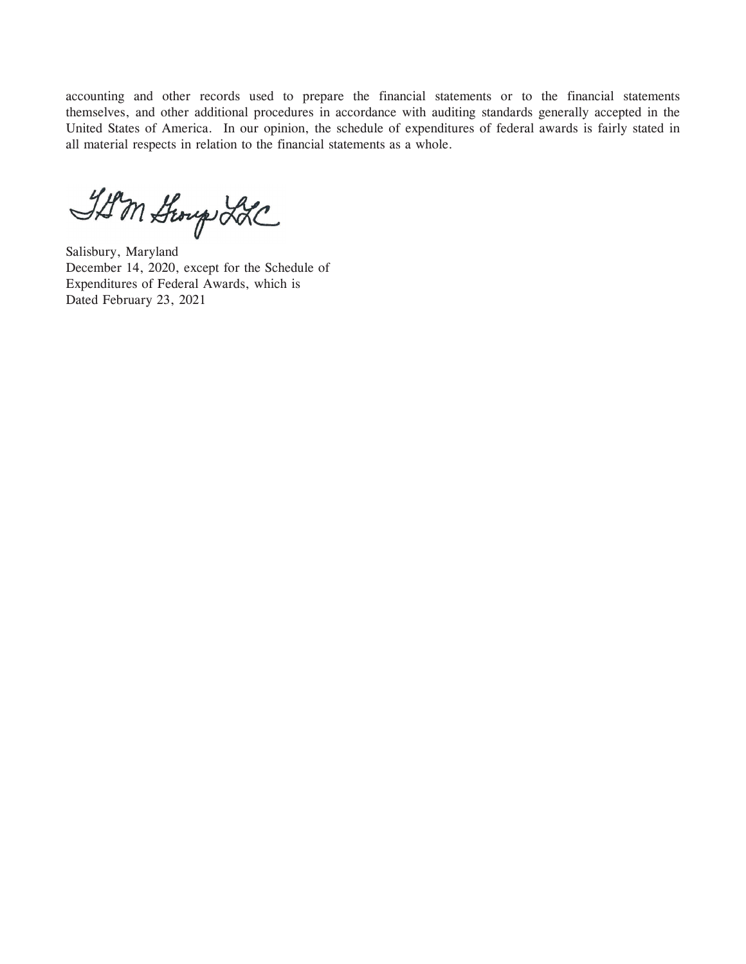accounting and other records used to prepare the financial statements or to the financial statements themselves, and other additional procedures in accordance with auditing standards generally accepted in the United States of America. In our opinion, the schedule of expenditures of federal awards is fairly stated in all material respects in relation to the financial statements as a whole.

IAM Scoup LLC

Salisbury, Maryland December 14, 2020, except for the Schedule of Expenditures of Federal Awards, which is Dated February 23, 2021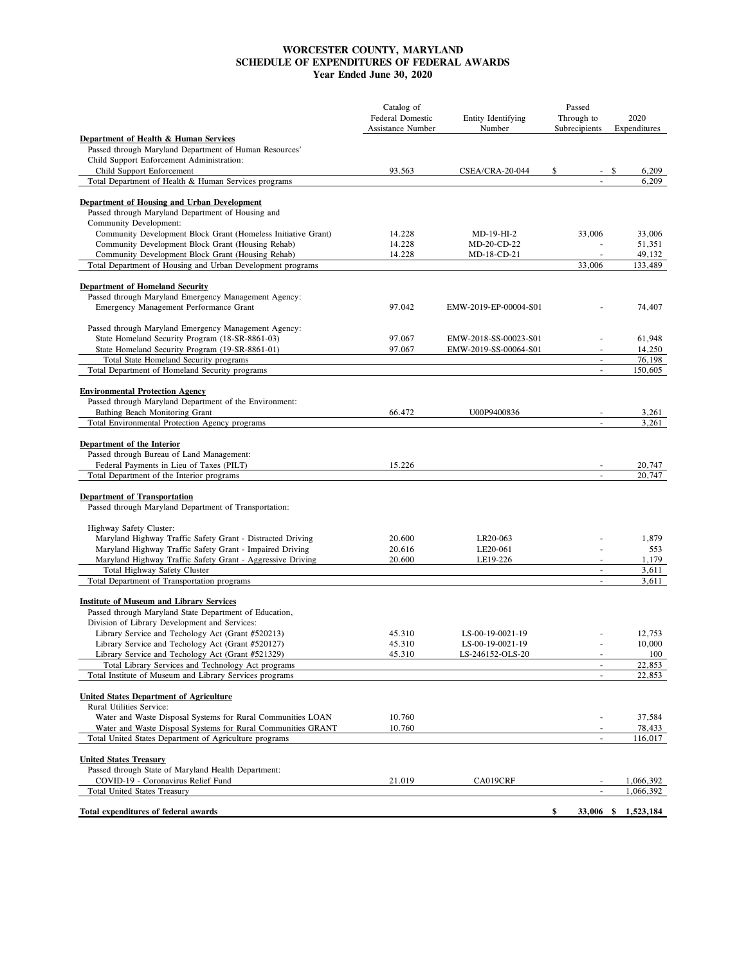#### **WORCESTER COUNTY, MARYLAND SCHEDULE OF EXPENDITURES OF FEDERAL AWARDS Year Ended June 30, 2020**

|                                                                                                                        | Catalog of<br><b>Federal Domestic</b> | Entity Identifying         | Passed<br>Through to                                 | 2020                |
|------------------------------------------------------------------------------------------------------------------------|---------------------------------------|----------------------------|------------------------------------------------------|---------------------|
|                                                                                                                        | Assistance Number                     | Number                     | Subrecipients                                        | Expenditures        |
| Department of Health & Human Services<br>Passed through Maryland Department of Human Resources'                        |                                       |                            |                                                      |                     |
| Child Support Enforcement Administration:                                                                              |                                       |                            |                                                      |                     |
| Child Support Enforcement                                                                                              | 93.563                                | CSEA/CRA-20-044            | \$<br>$\sim$                                         | \$<br>6,209         |
| Total Department of Health & Human Services programs                                                                   |                                       |                            |                                                      | 6.209               |
| Department of Housing and Urban Development                                                                            |                                       |                            |                                                      |                     |
| Passed through Maryland Department of Housing and                                                                      |                                       |                            |                                                      |                     |
| Community Development:                                                                                                 |                                       |                            |                                                      |                     |
| Community Development Block Grant (Homeless Initiative Grant)                                                          | 14.228                                | MD-19-HI-2                 | 33,006                                               | 33,006              |
| Community Development Block Grant (Housing Rehab)<br>Community Development Block Grant (Housing Rehab)                 | 14.228<br>14.228                      | MD-20-CD-22<br>MD-18-CD-21 | $\overline{a}$                                       | 51,351<br>49,132    |
| Total Department of Housing and Urban Development programs                                                             |                                       |                            | 33,006                                               | 133,489             |
|                                                                                                                        |                                       |                            |                                                      |                     |
| <b>Department of Homeland Security</b>                                                                                 |                                       |                            |                                                      |                     |
| Passed through Maryland Emergency Management Agency:                                                                   |                                       |                            |                                                      |                     |
| Emergency Management Performance Grant                                                                                 | 97.042                                | EMW-2019-EP-00004-S01      |                                                      | 74,407              |
| Passed through Maryland Emergency Management Agency:                                                                   |                                       |                            |                                                      |                     |
| State Homeland Security Program (18-SR-8861-03)                                                                        | 97.067                                | EMW-2018-SS-00023-S01      | $\overline{\phantom{a}}$                             | 61,948              |
| State Homeland Security Program (19-SR-8861-01)                                                                        | 97.067                                | EMW-2019-SS-00064-S01      | $\overline{\phantom{a}}$                             | 14,250              |
| Total State Homeland Security programs                                                                                 |                                       |                            | $\overline{a}$                                       | 76,198              |
| Total Department of Homeland Security programs                                                                         |                                       |                            | $\blacksquare$                                       | 150,605             |
| <b>Environmental Protection Agency</b>                                                                                 |                                       |                            |                                                      |                     |
| Passed through Maryland Department of the Environment:                                                                 |                                       |                            |                                                      |                     |
| Bathing Beach Monitoring Grant                                                                                         | 66.472                                | U00P9400836                |                                                      | 3,261               |
| Total Environmental Protection Agency programs                                                                         |                                       |                            | $\overline{\phantom{a}}$                             | 3,261               |
|                                                                                                                        |                                       |                            |                                                      |                     |
| Department of the Interior<br>Passed through Bureau of Land Management:                                                |                                       |                            |                                                      |                     |
| Federal Payments in Lieu of Taxes (PILT)                                                                               | 15.226                                |                            | $\overline{\phantom{a}}$                             | 20,747              |
| Total Department of the Interior programs                                                                              |                                       |                            |                                                      | 20.747              |
|                                                                                                                        |                                       |                            |                                                      |                     |
| <b>Department of Transportation</b>                                                                                    |                                       |                            |                                                      |                     |
| Passed through Maryland Department of Transportation:                                                                  |                                       |                            |                                                      |                     |
| Highway Safety Cluster:                                                                                                |                                       |                            |                                                      |                     |
| Maryland Highway Traffic Safety Grant - Distracted Driving                                                             | 20.600                                | LR20-063                   |                                                      | 1,879               |
| Maryland Highway Traffic Safety Grant - Impaired Driving                                                               | 20.616                                | LE20-061                   |                                                      | 553                 |
| Maryland Highway Traffic Safety Grant - Aggressive Driving                                                             | 20.600                                | LE19-226                   | $\overline{\phantom{a}}$                             | 1,179               |
| Total Highway Safety Cluster                                                                                           |                                       |                            | $\overline{\phantom{a}}$                             | 3,611               |
| Total Department of Transportation programs                                                                            |                                       |                            | $\overline{\phantom{a}}$                             | 3,611               |
| <b>Institute of Museum and Library Services</b>                                                                        |                                       |                            |                                                      |                     |
| Passed through Maryland State Department of Education,                                                                 |                                       |                            |                                                      |                     |
| Division of Library Development and Services:                                                                          |                                       |                            |                                                      |                     |
| Library Service and Techology Act (Grant #520213)                                                                      | 45.310                                | LS-00-19-0021-19           |                                                      | 12,753              |
| Library Service and Techology Act (Grant #520127)                                                                      | 45.310                                | LS-00-19-0021-19           |                                                      | 10,000              |
| Library Service and Techology Act (Grant #521329)<br>Total Library Services and Technology Act programs                | 45.310                                | LS-246152-OLS-20           | $\overline{\phantom{a}}$<br>$\overline{\phantom{a}}$ | 100<br>22,853       |
| Total Institute of Museum and Library Services programs                                                                |                                       |                            | $\overline{\phantom{a}}$                             | 22,853              |
|                                                                                                                        |                                       |                            |                                                      |                     |
| <b>United States Department of Agriculture</b>                                                                         |                                       |                            |                                                      |                     |
| Rural Utilities Service:                                                                                               |                                       |                            |                                                      |                     |
| Water and Waste Disposal Systems for Rural Communities LOAN                                                            | 10.760                                |                            |                                                      | 37,584              |
| Water and Waste Disposal Systems for Rural Communities GRANT<br>Total United States Department of Agriculture programs | 10.760                                |                            |                                                      | 78,433<br>116,017   |
|                                                                                                                        |                                       |                            |                                                      |                     |
| <b>United States Treasury</b>                                                                                          |                                       |                            |                                                      |                     |
| Passed through State of Maryland Health Department:                                                                    |                                       |                            |                                                      |                     |
| COVID-19 - Coronavirus Relief Fund                                                                                     | 21.019                                | CA019CRF                   |                                                      | 1,066,392           |
| Total United States Treasury                                                                                           |                                       |                            |                                                      | 1,066,392           |
| Total expenditures of federal awards                                                                                   |                                       |                            | \$                                                   | 33,006 \$ 1,523,184 |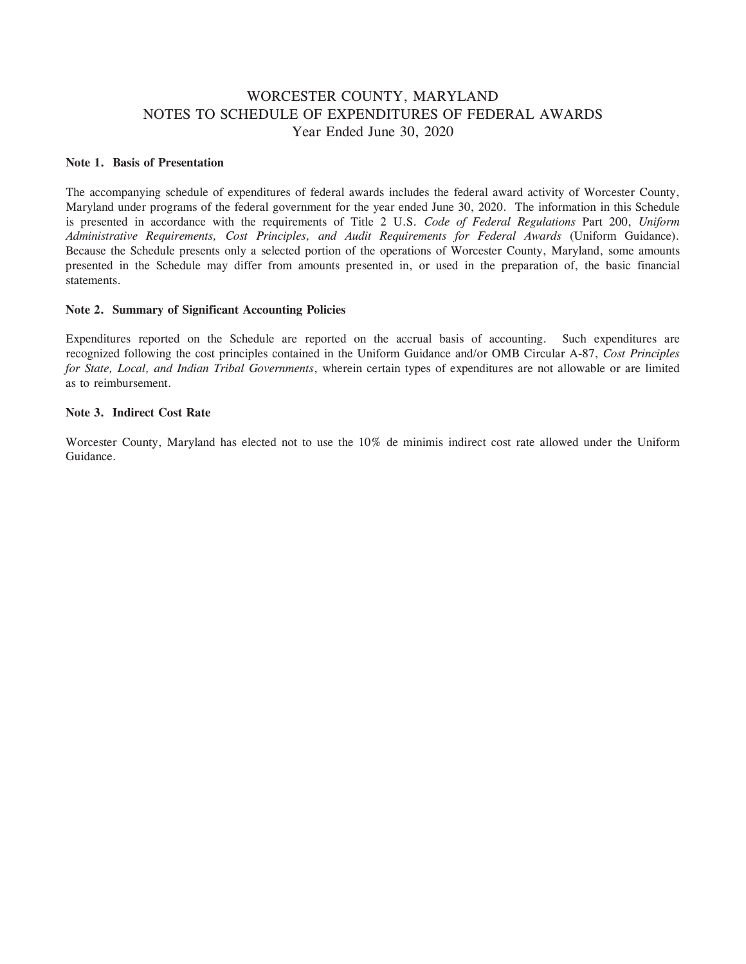### WORCESTER COUNTY, MARYLAND NOTES TO SCHEDULE OF EXPENDITURES OF FEDERAL AWARDS Year Ended June 30, 2020

#### **Note 1. Basis of Presentation**

The accompanying schedule of expenditures of federal awards includes the federal award activity of Worcester County, Maryland under programs of the federal government for the year ended June 30, 2020. The information in this Schedule is presented in accordance with the requirements of Title 2 U.S. *Code of Federal Regulations* Part 200, *Uniform Administrative Requirements, Cost Principles, and Audit Requirements for Federal Awards* (Uniform Guidance). Because the Schedule presents only a selected portion of the operations of Worcester County, Maryland, some amounts presented in the Schedule may differ from amounts presented in, or used in the preparation of, the basic financial statements.

#### **Note 2. Summary of Significant Accounting Policies**

Expenditures reported on the Schedule are reported on the accrual basis of accounting. Such expenditures are recognized following the cost principles contained in the Uniform Guidance and/or OMB Circular A-87, *Cost Principles for State, Local, and Indian Tribal Governments*, wherein certain types of expenditures are not allowable or are limited as to reimbursement.

#### **Note 3. Indirect Cost Rate**

Worcester County, Maryland has elected not to use the 10% de minimis indirect cost rate allowed under the Uniform Guidance.